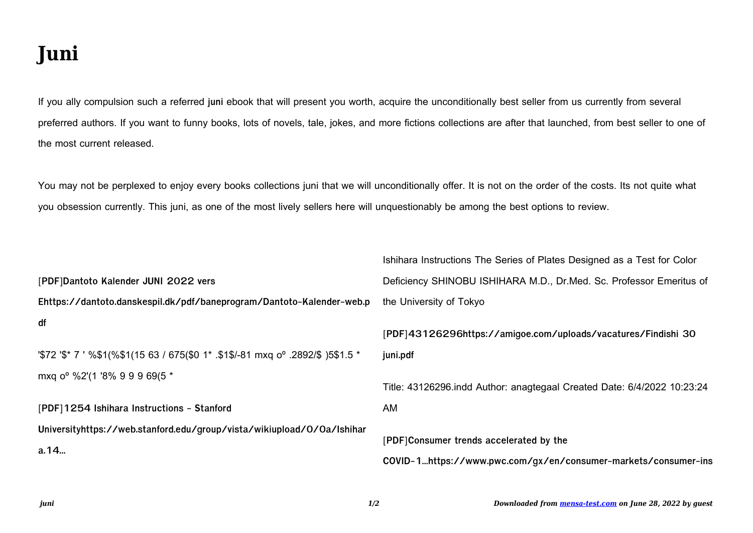## **Juni**

If you ally compulsion such a referred **juni** ebook that will present you worth, acquire the unconditionally best seller from us currently from several preferred authors. If you want to funny books, lots of novels, tale, jokes, and more fictions collections are after that launched, from best seller to one of the most current released.

You may not be perplexed to enjoy every books collections juni that we will unconditionally offer. It is not on the order of the costs. Its not quite what you obsession currently. This juni, as one of the most lively sellers here will unquestionably be among the best options to review.

|                                                                                              | Ishihara Instructions The Series of Plates Designed as a Test for Color |
|----------------------------------------------------------------------------------------------|-------------------------------------------------------------------------|
| [PDF]Dantoto Kalender JUNI 2022 vers                                                         | Deficiency SHINOBU ISHIHARA M.D., Dr.Med. Sc. Professor Emeritus of     |
| Ehttps://dantoto.danskespil.dk/pdf/baneprogram/Dantoto-Kalender-web.p                        | the University of Tokyo                                                 |
| df                                                                                           | [PDF]43126296https://amigoe.com/uploads/vacatures/Findishi 30           |
| "\$72 '\$* 7 ' %\$1(%\$1(15 63 / 675(\$0 1* .\$1\$/-81 mxq o <sup>o</sup> .2892/\$ )5\$1.5 * | juni.pdf                                                                |
| mxq o <sup>o</sup> %2'(1 '8% 9 9 9 69(5 *                                                    | Title: 43126296.indd Author: anagtegaal Created Date: 6/4/2022 10:23:24 |
| [PDF]1254 Ishihara Instructions - Stanford                                                   | AM                                                                      |
| Universityhttps://web.stanford.edu/group/vista/wikiupload/0/0a/Ishihar                       |                                                                         |
| a.14                                                                                         | [PDF]Consumer trends accelerated by the                                 |
|                                                                                              | COVID-1https://www.pwc.com/gx/en/consumer-markets/consumer-ins          |
|                                                                                              |                                                                         |